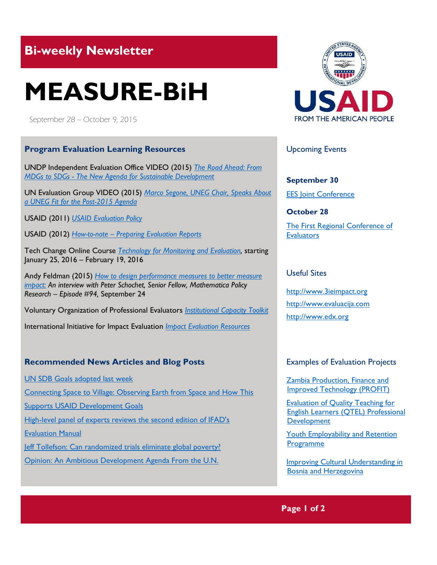## **Bi-weekly Newsletter**

# **MEASURE-BiH**

September 28 – October 9, 2015

#### **Program Evaluation Learning Resources**

UNDP Independent Evaluation Office VIDEO (2015) *[The Road Ahead: From](https://www.youtube.com/watch?v=0GvXCTFI35I&)  MDGs to SDGs - [The New Agenda for Sustainable Development](https://www.youtube.com/watch?v=0GvXCTFI35I&)*

UN Evaluation Group VIDEO (2015) *[Marco Segone, UNEG Chair,](https://www.youtube.com/watch?v=7erKmkAbodg) Speaks About [a UNEG Fit for the Post-2015 Agenda](https://www.youtube.com/watch?v=7erKmkAbodg)*

USAID (2011) *[USAID Evaluation Policy](https://www.usaid.gov/sites/default/files/documents/1868/USAIDEvaluationPolicy.pdf)*

USAID (2012) *How-to-note – [Preparing Evaluation Reports](https://www.usaid.gov/sites/default/files/documents/1870/How-to-Note_Preparing-Evaluation-Reports.pdf)*

Tech Change Online Course *[Technology for Monitoring and Evaluation,](https://www.techchange.org/online-courses/technology-for-monitoring-and-evaluation/?utm_source=SID&utm_medium=%20newsletter&utm_%20campaign=mandecourse)* starting January 25, 2016 – February 19, 2016

Andy Feldman (2015) *[How to design performance measures to better measure](http://govinnovator.com/schochet/)  [impact:](http://govinnovator.com/schochet/) An interview with Peter Schochet, Senior Fellow, Mathematica Policy Research – Episode #94,* September 24

Voluntary Organization of Professional Evaluators *[Institutional Capacity Toolkit](http://vopetoolkit.ioce.net/en/page/about-toolkit)*

International Initiative for Impact Evaluation *[Impact Evaluation Resources](http://www.3ieimpact.org/evaluation/resources/impact-evaluation-resources/)*

#### **Recommended News Articles and Blog Posts**

[UN SDB Goals adopted last week](https://sustainabledevelopment.un.org/?page=view&nr=971&type=230&menu=2059)

[Connecting Space to Village: Observing Earth from Space and How This](https://www.usaid.gov/events/sep-17-2015-connecting-space-to-village-nasa-servir) 

[Supports USAID Development Goals](https://www.usaid.gov/events/sep-17-2015-connecting-space-to-village-nasa-servir)

High-level panel of experts reviews the second edition of IFAD's

[Evaluation Manual](http://www.ifad.org/evaluation/whatwedo/news/2015/matter.htm)

[Jeff Tollefson: Can randomized trials eliminate global poverty?](http://www.nature.com/news/can-randomized-trials-eliminate-global-poverty-1.18176#auth-1) [Opinion: An Ambitious Development Agenda From the U.N.](http://www.nytimes.com/2015/09/28/opinion/an-ambitious-development-agenda-from-the-un.html?_r=0)



Upcoming Events

**September 30** [EES Joint Conference](http://www.europeanevaluation.org/events/ees-conferences-and-events/conferences/evalyear-2015x/joint-2015-conference)

**October 28** [The First Regional Conference of](http://www.bheval.com/index.php/en/81-news/134-regional-conference)  **[Evaluators](http://www.bheval.com/index.php/en/81-news/134-regional-conference)** 

#### Useful Sites

[http://www.3ieimpact.org](http://www.3ieimpact.org/) [http://www.evaluacija.com](http://www.evaluacija.com/) [http://www.e](http://www.ioce.net/en/)dx.org

#### Examples of Evaluation Projects

[Zambia Production, Finance and](http://pdf.usaid.gov/pdf_docs/PDACR843.pdf)  [Improved Technology \(PROFIT\)](http://pdf.usaid.gov/pdf_docs/PDACR843.pdf)

[Evaluation of Quality Teaching for](http://www.impaqint.com/sites/default/files/files/REL_QTEL_20124005.pdf)  [English Learners \(QTEL\) Professional](http://www.impaqint.com/sites/default/files/files/REL_QTEL_20124005.pdf)  **[Development](http://www.impaqint.com/sites/default/files/files/REL_QTEL_20124005.pdf)** 

Youth Employability and Retention [Programme](http://www.mdgfund.org/sites/default/files/BiH%20-%20YEM%20-%20Final%20Evaluation%20Report.pdf)

[Improving Cultural Understanding in](http://www.mdgfund.org/sites/default/files/BiH%20-%20Culture%20-%20Final%20Evaluation%20Report.pdf)  [Bosnia and Herzegovina](http://www.mdgfund.org/sites/default/files/BiH%20-%20Culture%20-%20Final%20Evaluation%20Report.pdf)

#### **Page 1 of 2**